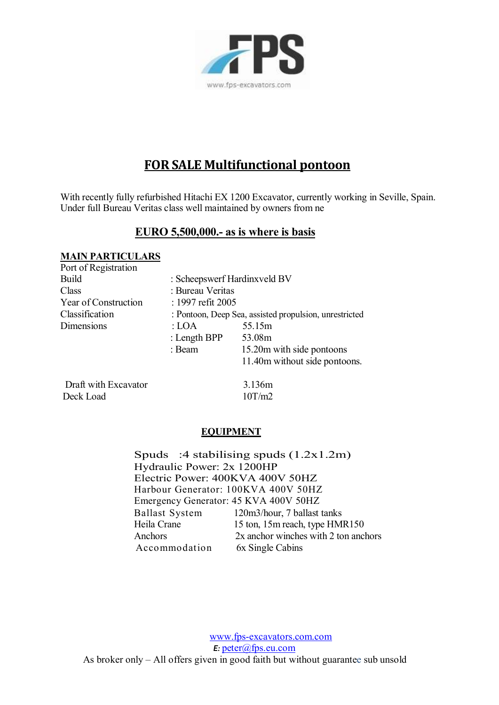

# **FOR SALE Multifunctional pontoon**

With recently fully refurbished Hitachi EX 1200 Excavator, currently working in Seville, Spain.<br>Under full Bureau Veritas class well maintained by owners from ne With recently fully refurbished Hitachi EX 1200 Excavator, currently<br>Under full Bureau Veritas class well maintained by owners from ne Under full Bureau Veritas class well maintained by owners from ne<br>**EURO 5,500,000.- as is where is basis** 

| <b>MAIN PARTICULARS</b> |                                                        |                               |
|-------------------------|--------------------------------------------------------|-------------------------------|
| Port of Registration    |                                                        |                               |
| Build                   | : Scheepswerf Hardinxveld BV                           |                               |
| Class                   | : Bureau Veritas                                       |                               |
| Year of Construction    | : 1997 refit 2005                                      |                               |
| Classification          | : Pontoon, Deep Sea, assisted propulsion, unrestricted |                               |
| Dimensions              | : LOA                                                  | 55.15m                        |
|                         | : Length $BPP$                                         | 53.08m                        |
|                         | : Beam                                                 | 15.20m with side pontoons     |
|                         |                                                        | 11.40m without side pontoons. |
| Draft with Excavator    |                                                        | 3.136m                        |

Deck Load 10T/m2

### **EQUIPMENT**

EQUIPMENT<br>Spuds :4 stabilising spuds  $(1.2x1.2m)$ <br>Hydrovlia Bayyar 2x 1200JD Hydraulic Power: 2x 1200HP<br>Electric Power: 400KVA 400V 50HZ Spuds :4 stabilising spuds (1.2x1.<br>Hydraulic Power: 2x 1200HP<br>Electric Power: 400KVA 400V 50HZ<br>Herbour Generator: 100KVA 400V 50HZ Harbour Generator: 100KVA 400V 50HZ Emergency Generator: 45 KVA 400V 50HZ<br>Ballast System 120m3/hour, 7 ballast 120m3/hour, 7 ballast tanks Heila Crane 15 ton, 15m reach, type HMR150 Anchors 2x anchor winches with 2 ton anchors Accommodation 6x Single Cabins